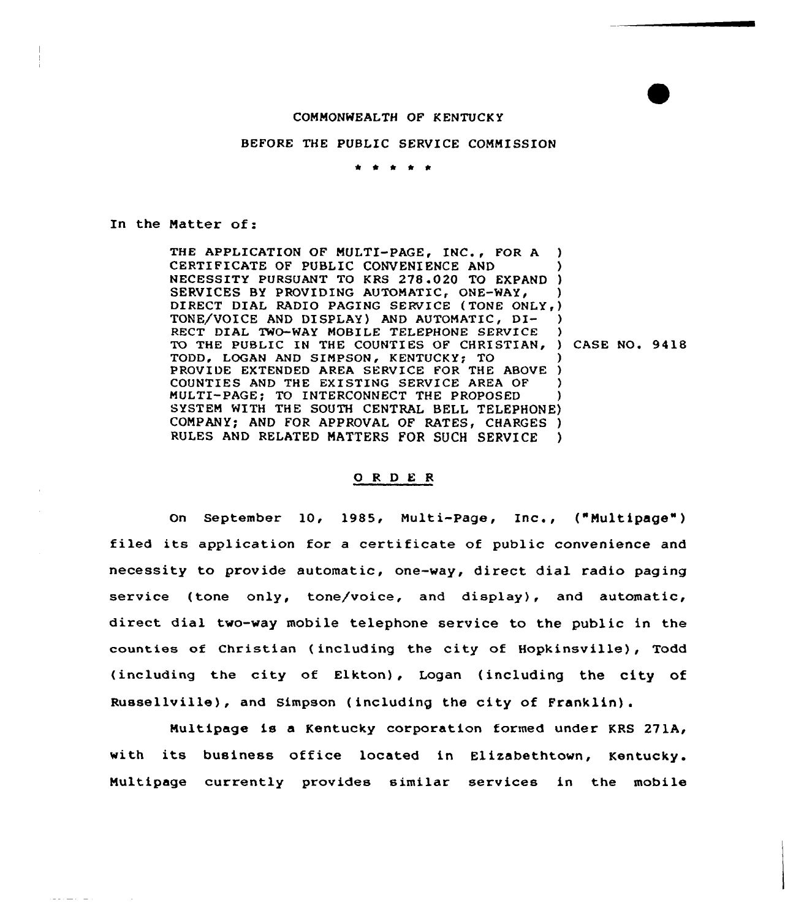## COMMONWEALTH OF K ENTUCK Y

## BEFORE THE PUBLIC SERVICE COMMISSION

\* \* \* \*

In the Natter of:

THE APPLICATION OF MULTI-PAGE, INC., FOR A ) CERTIFICATE OF PUBLIC CONVENIENCE AND NECESSITY PURSUANT TO KRS 278.020 TO EXPAND ) SERVICES BY PROVIDING AUTOMATIC, ONE-WAY,  $\rangle$ DIRECT DIAL RADIO PAGING SERVICE (TONE ONLY,) TONE/VOICE AND DISPLAY) AND AUTOMATIC, DI- )<br>RECT DIAL TWO-WAY MORILE TELEPHONE SERVICE ) RECT DIAL TWO-WAY MOBILE TELEPHONE SERVICE TO THE PUBLIC IN THE COUNTIES OF CHRISTIAN, ) CASE NO. 9418 TODD, LOGAN AND SIMPSON, KENTUCKY; TO PROVIDE EXTENDED AREA SERVICE FOR THE ABOVE ) COUNTIES AND THE EXISTING SERVICE AREA OF ) MULTI-PAGE; TO INTERCONNECT THE PROPOSED ) SYSTEM WITH THE SOUTH CENTRAL BELL TELEPHONE) COMPANY; AND FOR APPROVAL OF RATES, CHARGES ) RULES AND RELATED MATTERS FOR SUCH SERVICE )

## 0 <sup>R</sup> <sup>D</sup> E <sup>R</sup>

On September 10< 1985, Multi-page, Inc., ("Nultipage" ) filed its application for <sup>a</sup> certificate of public convenience and necessity to provide automatic, one-way, direct dial radio paging service (tone only, tone/voice, and display), and automatic, direct dial two-way mobile telephone service to the public in the counties of Christian ( including the city of Hopkinsville), Todd (including the city of Elkton), Logan (including the city of Russellville), and Simpson (including the city of Franklin).

Multipage is a Kentucky corporation formed under KRS 271A, with its business office located in Elizabethtown, Kentucky. Nultipage currently provides similar services in the mobile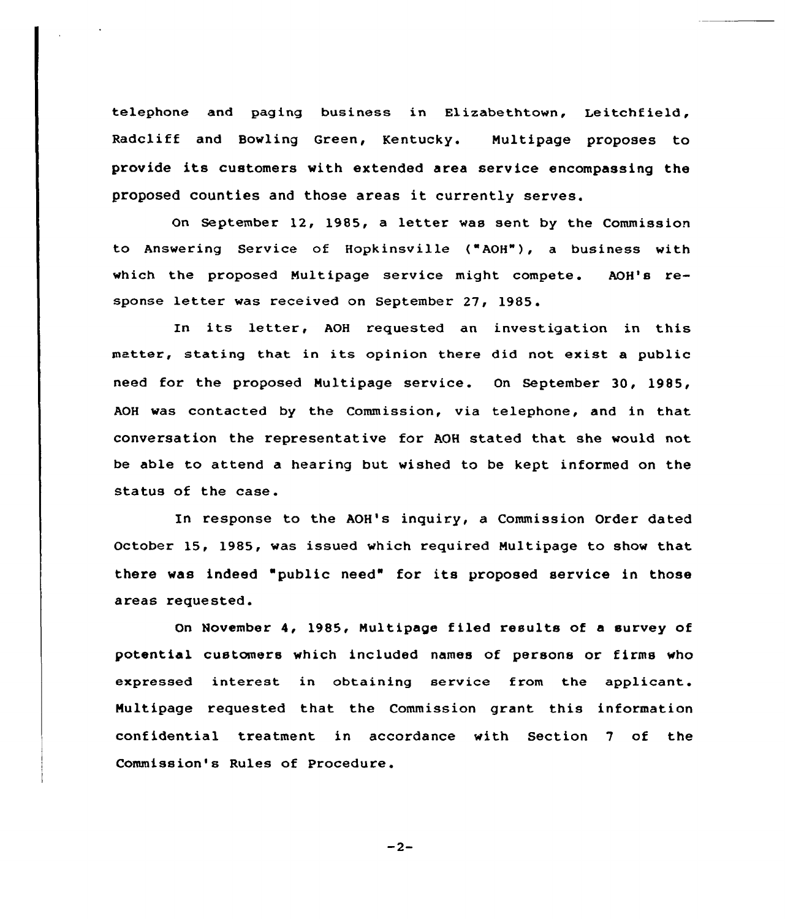telephone and paging business in Elizabethtown, Leitchfield, Radcliff and Bowling Green, Kentucky. Multipage proposes to provide its customers with extended area service encompassing the proposed counties and those areas it currently serves.

On September 12, 1985, a letter was sent by the Commission to Answering Service of Hopkinsville ("AOH"), a business with which the proposed Multipage service might compete. AOH's response letter was received on September 27, 1985.

In its letter, AOH requested an investigation in this matter, stating that in its opinion there did not exist <sup>a</sup> public need for the proposed Nultipage service . On September 3Q, 1985, AOH was contacted by the Commission, via telephone, and in that conversation the representative for AOH stated that she would not be able to attend a hearing but wished to be kept informed on the status of the case.

In response to the AOH's inquiry, a Commission Order dated October 15, 1985, was issued which required Nultipage to show that there was indeed 'public need" for its proposed service in those areas requested.

On November 4, 1985, Nultipage filed results of a survey of potential customers which included names of persons or firms who expressed interest in obtaining service from the applicant. Nultipage requested that the Commission grant this information confidential treatment in accordance with Section 7 of the Commission's Rules of procedure.

 $-2-$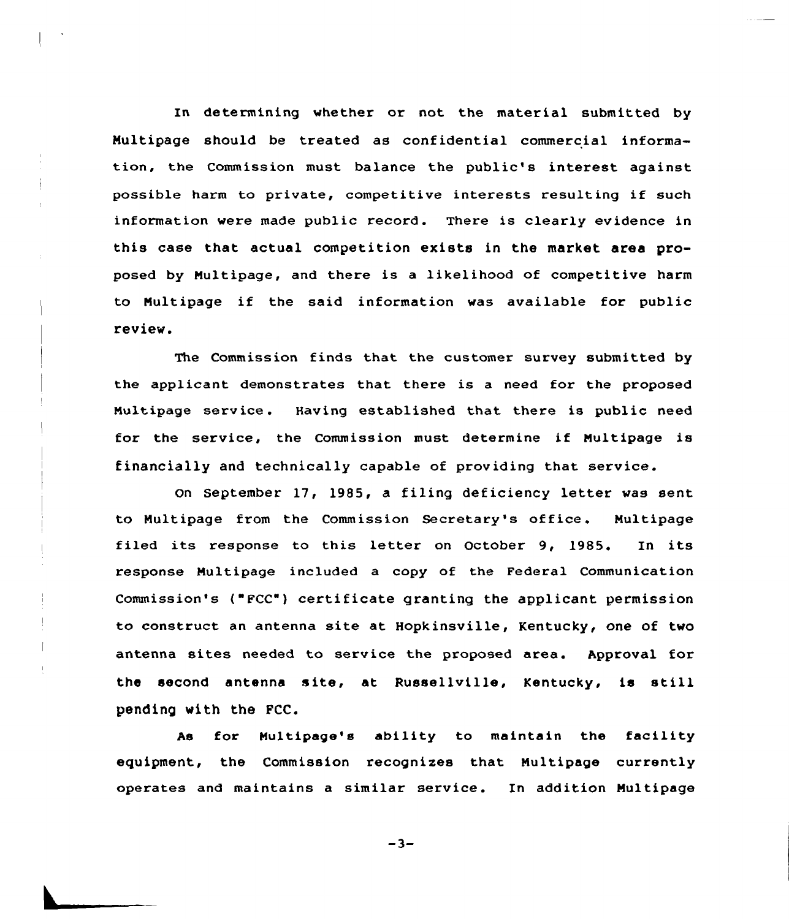In determining whether or not the material submitted by Nultipage should be treated as confidential commercial information, the Commission must balance the public's interest against possible harm to private, competitive interests resulting if such information were made public record. There is clearly evidence in this case that actual competition exists in the market area proposed by Nultipage, and there is a likelihood of competitive harm to Nultipage if the said information was available for public review.

The Commission finds that the customer survey submitted by the applicant demonstrates that there is a need for the proposed Multipage service. Having established that there is public need fox the service, the Commission must determine if Nultipage is financially and technically capable of providing that service.

On September 17, 1985, a filing deficiency letter was sent to Nultipage from the Commission Secretary's office . Nultipage filed its response to this letter on October 9, 1985. In its response Multipage included a copy of the Federal Communication Commission's ("FCC") certificate granting the applicant permission to construct an antenna site at Hopkinsville, Kentucky, one of two antenna sites needed to service the proposed area. Approval for the second antenna site, at Russellville, Kentucky, is still pending with the FCC.

As for Nultipage's ability to maintain the facility equipment, the Commission recognizes that Nultipage cuxrently operates and maintains a similar service. In addition Nultipage

 $-3-$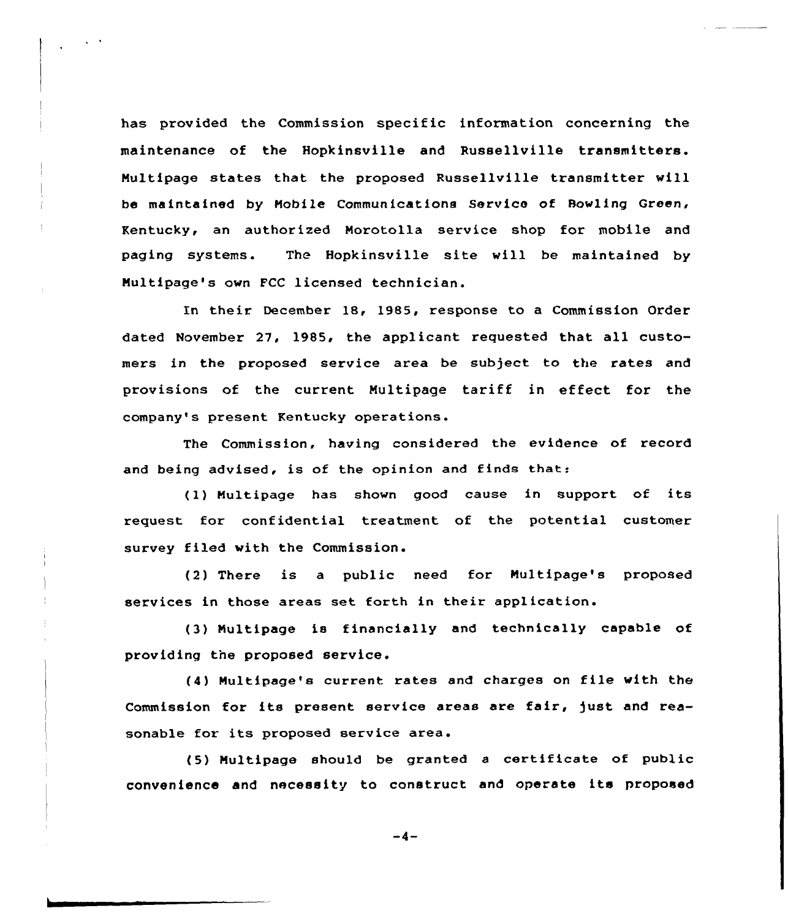has provided the Commission specific information concerning the maintenance of the Hopkinsville and Russellville transmitters. Multipage states that the proposed Russellville transmitter will be maintained by Mobile Communications Service of Bowling Green, Kentucky, an authorized Norotolla service shop for mobile and paging systems. The Hopkinsville site will be maintained by Nultipage's own FCC licensed technician.

In their December 18, 1985, response to a Commission Order dated November 27, 1985, the applicant requested that all customers in the proposed service area be subject to the rates and provisions of the current Multipage tariff in effect for the company's present Kentucky operations.

The Commission, having considered the evidence of record and being advised, is of the opinion and finds that:

(1) Multipage has shown good cause in support of its request for confidential treatment of the potential customer survey filed with the Commission.

(2) There is a public need for Nultipage's proposed services in those areas set forth in their application.

(3) Nultipage is financially and technically capable of providing the proposed service.

(4) Multipage's current rates and charges on file with the Commission for its present service areas are fair, fust and reasonable for its proposed service area.

(5) Multipage should be granted <sup>a</sup> certificate of public convenience and necessity to construct and operate its proposed

 $-4-$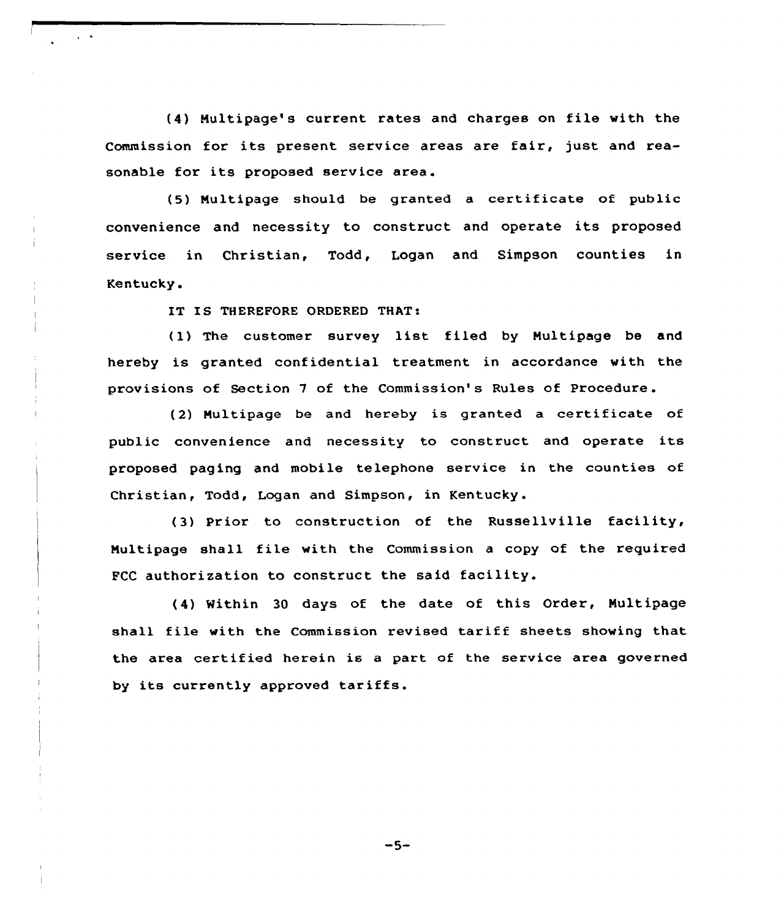(4) Multipage's current rates and charges on file with the Commission for its present service areas are fair, just and reasonable for its proposed service area.

(5) Multipage should be granted <sup>a</sup> certificate of public convenience and necessity to construct and operate its proposed sexvice in Chxistian, Todd, Logan and Simpson counties in Kentucky.

IT IS THEREFORE ORDERED THAT:

(I) The customer survey list filed by Nultipage be and hereby is granted confidential treatment in accoxdance with the provisions of Section 7 of the Commission's Rules of Procedure.

(2) Nultipage be and hereby is granted <sup>a</sup> certificate of public convenience and necessity to construct and operate its proposed paging and mobile telephone service in the counties of Christian, Todd, Logan and Simpson, in Kentucky.

(3) prior to construction of the Russellville facility, Nultipage shall file with the Commission <sup>a</sup> copy of the required FCC authorization to construct the said facility.

(4) Within <sup>30</sup> days of the date of this Order, Nultipage shall file with the Commission revised tariff sheets showing that the area certified herein is a part of the service area governed by its currently approved tariffs.

 $-5-$